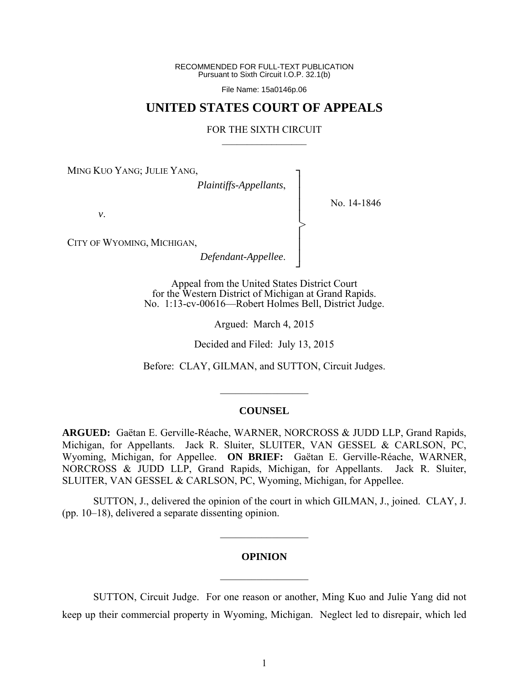RECOMMENDED FOR FULL-TEXT PUBLICATION Pursuant to Sixth Circuit I.O.P. 32.1(b)

File Name: 15a0146p.06

## **UNITED STATES COURT OF APPEALS**

### FOR THE SIXTH CIRCUIT  $\mathcal{L}_\text{max}$

┐ │ │ │ │ │ │ │ ┘

>

MING KUO YANG; JULIE YANG,

*Plaintiffs-Appellants*,

No. 14-1846

*v*.

CITY OF WYOMING, MICHIGAN,

*Defendant-Appellee*.

Appeal from the United States District Court for the Western District of Michigan at Grand Rapids. No. 1:13-cv-00616—Robert Holmes Bell, District Judge.

Argued: March 4, 2015

Decided and Filed: July 13, 2015

Before: CLAY, GILMAN, and SUTTON, Circuit Judges.

 $\frac{1}{2}$ 

### **COUNSEL**

**ARGUED:** Gaëtan E. Gerville-Réache, WARNER, NORCROSS & JUDD LLP, Grand Rapids, Michigan, for Appellants. Jack R. Sluiter, SLUITER, VAN GESSEL & CARLSON, PC, Wyoming, Michigan, for Appellee. **ON BRIEF:** Gaëtan E. Gerville-Réache, WARNER, NORCROSS & JUDD LLP, Grand Rapids, Michigan, for Appellants. Jack R. Sluiter, SLUITER, VAN GESSEL & CARLSON, PC, Wyoming, Michigan, for Appellee.

 SUTTON, J., delivered the opinion of the court in which GILMAN, J., joined. CLAY, J. (pp. 10–18), delivered a separate dissenting opinion.

### **OPINION**

 $\frac{1}{2}$ 

 $\mathcal{L}_\text{max}$ 

 SUTTON, Circuit Judge. For one reason or another, Ming Kuo and Julie Yang did not keep up their commercial property in Wyoming, Michigan. Neglect led to disrepair, which led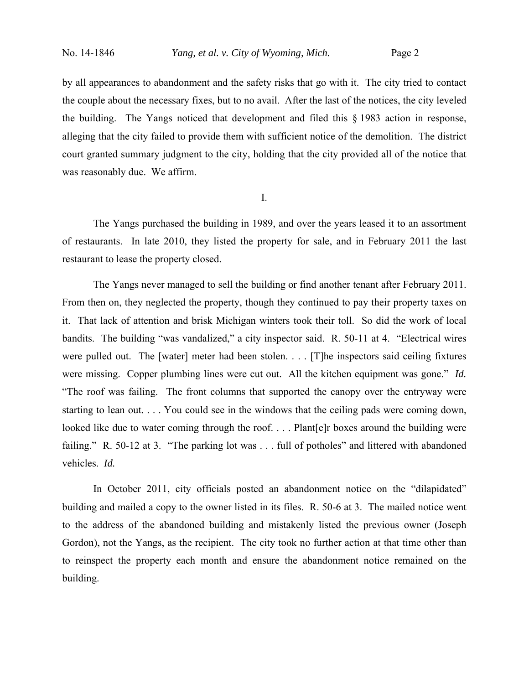by all appearances to abandonment and the safety risks that go with it. The city tried to contact the couple about the necessary fixes, but to no avail. After the last of the notices, the city leveled the building. The Yangs noticed that development and filed this § 1983 action in response, alleging that the city failed to provide them with sufficient notice of the demolition. The district court granted summary judgment to the city, holding that the city provided all of the notice that was reasonably due. We affirm.

I.

 The Yangs purchased the building in 1989, and over the years leased it to an assortment of restaurants. In late 2010, they listed the property for sale, and in February 2011 the last restaurant to lease the property closed.

The Yangs never managed to sell the building or find another tenant after February 2011. From then on, they neglected the property, though they continued to pay their property taxes on it. That lack of attention and brisk Michigan winters took their toll. So did the work of local bandits. The building "was vandalized," a city inspector said. R. 50-11 at 4. "Electrical wires were pulled out. The [water] meter had been stolen. . . . [T]he inspectors said ceiling fixtures were missing. Copper plumbing lines were cut out. All the kitchen equipment was gone." *Id.* "The roof was failing. The front columns that supported the canopy over the entryway were starting to lean out. . . . You could see in the windows that the ceiling pads were coming down, looked like due to water coming through the roof. . . . Plant[e]r boxes around the building were failing." R. 50-12 at 3. "The parking lot was . . . full of potholes" and littered with abandoned vehicles. *Id.*

In October 2011, city officials posted an abandonment notice on the "dilapidated" building and mailed a copy to the owner listed in its files. R. 50-6 at 3. The mailed notice went to the address of the abandoned building and mistakenly listed the previous owner (Joseph Gordon), not the Yangs, as the recipient. The city took no further action at that time other than to reinspect the property each month and ensure the abandonment notice remained on the building.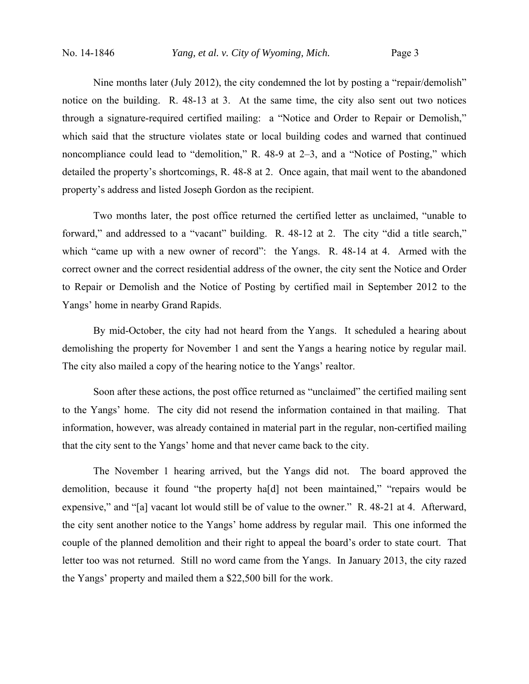Nine months later (July 2012), the city condemned the lot by posting a "repair/demolish" notice on the building. R. 48-13 at 3. At the same time, the city also sent out two notices through a signature-required certified mailing: a "Notice and Order to Repair or Demolish," which said that the structure violates state or local building codes and warned that continued noncompliance could lead to "demolition," R. 48-9 at 2–3, and a "Notice of Posting," which detailed the property's shortcomings, R. 48-8 at 2. Once again, that mail went to the abandoned property's address and listed Joseph Gordon as the recipient.

Two months later, the post office returned the certified letter as unclaimed, "unable to forward," and addressed to a "vacant" building. R. 48-12 at 2. The city "did a title search," which "came up with a new owner of record": the Yangs. R. 48-14 at 4. Armed with the correct owner and the correct residential address of the owner, the city sent the Notice and Order to Repair or Demolish and the Notice of Posting by certified mail in September 2012 to the Yangs' home in nearby Grand Rapids.

By mid-October, the city had not heard from the Yangs. It scheduled a hearing about demolishing the property for November 1 and sent the Yangs a hearing notice by regular mail. The city also mailed a copy of the hearing notice to the Yangs' realtor.

Soon after these actions, the post office returned as "unclaimed" the certified mailing sent to the Yangs' home. The city did not resend the information contained in that mailing. That information, however, was already contained in material part in the regular, non-certified mailing that the city sent to the Yangs' home and that never came back to the city.

 The November 1 hearing arrived, but the Yangs did not. The board approved the demolition, because it found "the property ha[d] not been maintained," "repairs would be expensive," and "[a] vacant lot would still be of value to the owner." R. 48-21 at 4. Afterward, the city sent another notice to the Yangs' home address by regular mail. This one informed the couple of the planned demolition and their right to appeal the board's order to state court. That letter too was not returned. Still no word came from the Yangs. In January 2013, the city razed the Yangs' property and mailed them a \$22,500 bill for the work.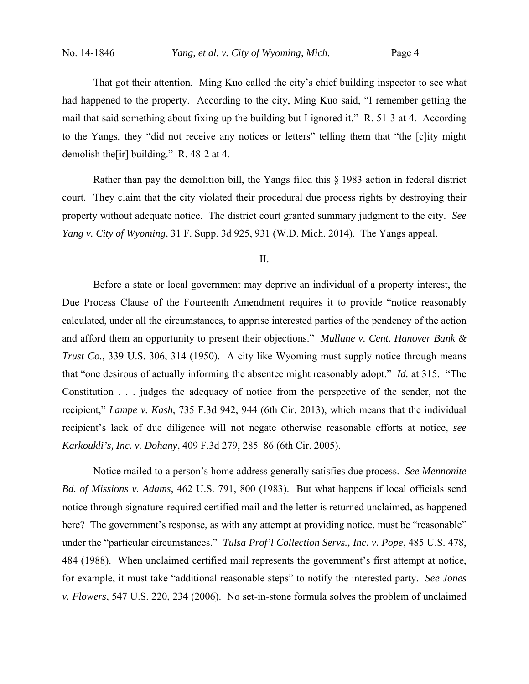That got their attention. Ming Kuo called the city's chief building inspector to see what had happened to the property. According to the city, Ming Kuo said, "I remember getting the mail that said something about fixing up the building but I ignored it." R. 51-3 at 4. According to the Yangs, they "did not receive any notices or letters" telling them that "the [c]ity might demolish the[ir] building." R. 48-2 at 4.

Rather than pay the demolition bill, the Yangs filed this § 1983 action in federal district court. They claim that the city violated their procedural due process rights by destroying their property without adequate notice. The district court granted summary judgment to the city. *See Yang v. City of Wyoming*, 31 F. Supp. 3d 925, 931 (W.D. Mich. 2014). The Yangs appeal.

II.

Before a state or local government may deprive an individual of a property interest, the Due Process Clause of the Fourteenth Amendment requires it to provide "notice reasonably calculated, under all the circumstances, to apprise interested parties of the pendency of the action and afford them an opportunity to present their objections." *Mullane v. Cent. Hanover Bank & Trust Co.*, 339 U.S. 306, 314 (1950). A city like Wyoming must supply notice through means that "one desirous of actually informing the absentee might reasonably adopt." *Id.* at 315. "The Constitution . . . judges the adequacy of notice from the perspective of the sender, not the recipient," *Lampe v. Kash*, 735 F.3d 942, 944 (6th Cir. 2013), which means that the individual recipient's lack of due diligence will not negate otherwise reasonable efforts at notice, *see Karkoukli's, Inc. v. Dohany*, 409 F.3d 279, 285–86 (6th Cir. 2005).

Notice mailed to a person's home address generally satisfies due process. *See Mennonite Bd. of Missions v. Adams*, 462 U.S. 791, 800 (1983). But what happens if local officials send notice through signature-required certified mail and the letter is returned unclaimed, as happened here? The government's response, as with any attempt at providing notice, must be "reasonable" under the "particular circumstances." *Tulsa Prof'l Collection Servs., Inc. v. Pope*, 485 U.S. 478, 484 (1988). When unclaimed certified mail represents the government's first attempt at notice, for example, it must take "additional reasonable steps" to notify the interested party. *See Jones v. Flowers*, 547 U.S. 220, 234 (2006). No set-in-stone formula solves the problem of unclaimed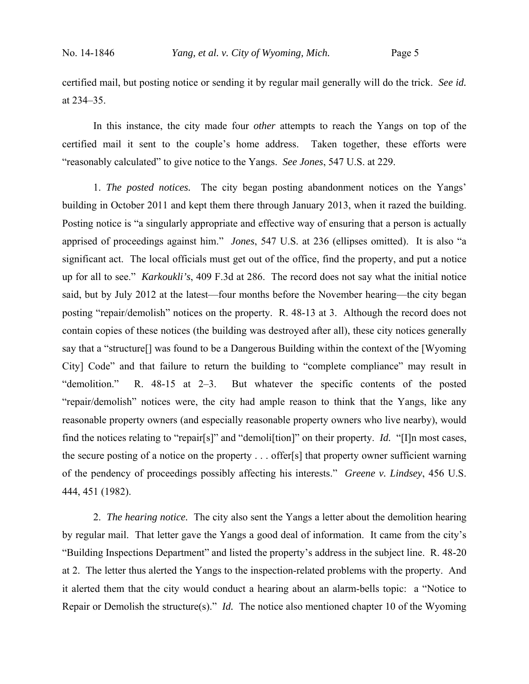certified mail, but posting notice or sending it by regular mail generally will do the trick. *See id.* at 234–35.

In this instance, the city made four *other* attempts to reach the Yangs on top of the certified mail it sent to the couple's home address. Taken together, these efforts were "reasonably calculated" to give notice to the Yangs. *See Jones*, 547 U.S. at 229.

1. *The posted notices.* The city began posting abandonment notices on the Yangs' building in October 2011 and kept them there through January 2013, when it razed the building. Posting notice is "a singularly appropriate and effective way of ensuring that a person is actually apprised of proceedings against him." *Jones*, 547 U.S. at 236 (ellipses omitted). It is also "a significant act. The local officials must get out of the office, find the property, and put a notice up for all to see." *Karkoukli's*, 409 F.3d at 286. The record does not say what the initial notice said, but by July 2012 at the latest—four months before the November hearing—the city began posting "repair/demolish" notices on the property. R. 48-13 at 3. Although the record does not contain copies of these notices (the building was destroyed after all), these city notices generally say that a "structure[] was found to be a Dangerous Building within the context of the [Wyoming City] Code" and that failure to return the building to "complete compliance" may result in "demolition." R. 48-15 at 2–3. But whatever the specific contents of the posted "repair/demolish" notices were, the city had ample reason to think that the Yangs, like any reasonable property owners (and especially reasonable property owners who live nearby), would find the notices relating to "repair[s]" and "demoli[tion]" on their property. *Id.* "[I]n most cases, the secure posting of a notice on the property . . . offer[s] that property owner sufficient warning of the pendency of proceedings possibly affecting his interests." *Greene v. Lindsey*, 456 U.S. 444, 451 (1982).

2. *The hearing notice.* The city also sent the Yangs a letter about the demolition hearing by regular mail. That letter gave the Yangs a good deal of information. It came from the city's "Building Inspections Department" and listed the property's address in the subject line. R. 48-20 at 2. The letter thus alerted the Yangs to the inspection-related problems with the property. And it alerted them that the city would conduct a hearing about an alarm-bells topic: a "Notice to Repair or Demolish the structure(s)." *Id.* The notice also mentioned chapter 10 of the Wyoming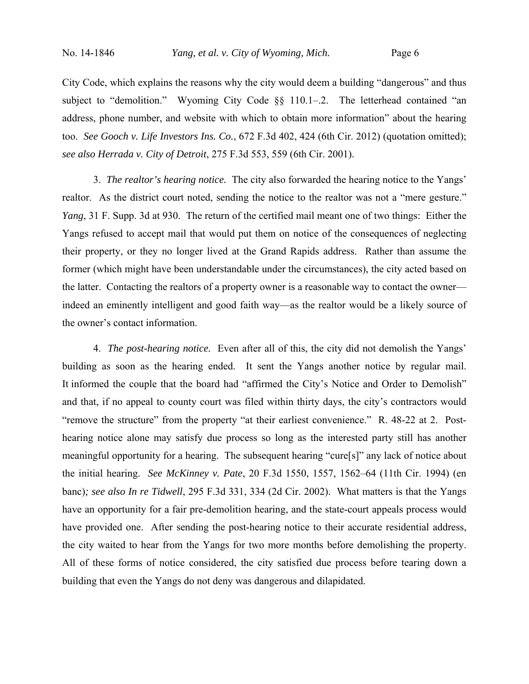City Code, which explains the reasons why the city would deem a building "dangerous" and thus subject to "demolition." Wyoming City Code  $\S$  110.1–2. The letterhead contained "an address, phone number, and website with which to obtain more information" about the hearing too. *See Gooch v. Life Investors Ins. Co.*, 672 F.3d 402, 424 (6th Cir. 2012) (quotation omitted); *see also Herrada v. City of Detroit*, 275 F.3d 553, 559 (6th Cir. 2001).

3. *The realtor's hearing notice.* The city also forwarded the hearing notice to the Yangs' realtor. As the district court noted, sending the notice to the realtor was not a "mere gesture." *Yang*, 31 F. Supp. 3d at 930. The return of the certified mail meant one of two things: Either the Yangs refused to accept mail that would put them on notice of the consequences of neglecting their property, or they no longer lived at the Grand Rapids address. Rather than assume the former (which might have been understandable under the circumstances), the city acted based on the latter. Contacting the realtors of a property owner is a reasonable way to contact the owner indeed an eminently intelligent and good faith way—as the realtor would be a likely source of the owner's contact information.

4. *The post-hearing notice.* Even after all of this, the city did not demolish the Yangs' building as soon as the hearing ended. It sent the Yangs another notice by regular mail. It informed the couple that the board had "affirmed the City's Notice and Order to Demolish" and that, if no appeal to county court was filed within thirty days, the city's contractors would "remove the structure" from the property "at their earliest convenience." R. 48-22 at 2. Posthearing notice alone may satisfy due process so long as the interested party still has another meaningful opportunity for a hearing. The subsequent hearing "cure[s]" any lack of notice about the initial hearing. *See McKinney v. Pate*, 20 F.3d 1550, 1557, 1562–64 (11th Cir. 1994) (en banc)*; see also In re Tidwell*, 295 F.3d 331, 334 (2d Cir. 2002). What matters is that the Yangs have an opportunity for a fair pre-demolition hearing, and the state-court appeals process would have provided one. After sending the post-hearing notice to their accurate residential address, the city waited to hear from the Yangs for two more months before demolishing the property. All of these forms of notice considered, the city satisfied due process before tearing down a building that even the Yangs do not deny was dangerous and dilapidated.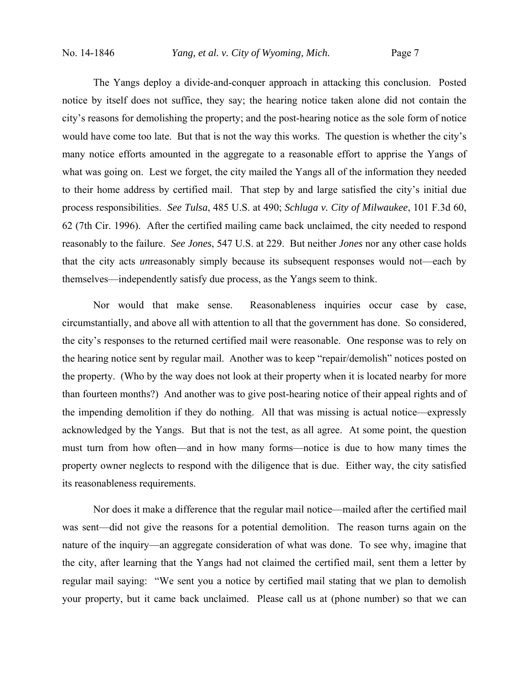The Yangs deploy a divide-and-conquer approach in attacking this conclusion. Posted notice by itself does not suffice, they say; the hearing notice taken alone did not contain the city's reasons for demolishing the property; and the post-hearing notice as the sole form of notice would have come too late. But that is not the way this works. The question is whether the city's many notice efforts amounted in the aggregate to a reasonable effort to apprise the Yangs of what was going on. Lest we forget, the city mailed the Yangs all of the information they needed to their home address by certified mail. That step by and large satisfied the city's initial due process responsibilities. *See Tulsa*, 485 U.S. at 490; *Schluga v. City of Milwaukee*, 101 F.3d 60, 62 (7th Cir. 1996).After the certified mailing came back unclaimed, the city needed to respond reasonably to the failure. *See Jones*, 547 U.S. at 229. But neither *Jones* nor any other case holds that the city acts *un*reasonably simply because its subsequent responses would not—each by themselves—independently satisfy due process, as the Yangs seem to think.

Nor would that make sense. Reasonableness inquiries occur case by case, circumstantially, and above all with attention to all that the government has done. So considered, the city's responses to the returned certified mail were reasonable. One response was to rely on the hearing notice sent by regular mail. Another was to keep "repair/demolish" notices posted on the property. (Who by the way does not look at their property when it is located nearby for more than fourteen months?) And another was to give post-hearing notice of their appeal rights and of the impending demolition if they do nothing. All that was missing is actual notice—expressly acknowledged by the Yangs. But that is not the test, as all agree. At some point, the question must turn from how often—and in how many forms—notice is due to how many times the property owner neglects to respond with the diligence that is due. Either way, the city satisfied its reasonableness requirements.

Nor does it make a difference that the regular mail notice—mailed after the certified mail was sent—did not give the reasons for a potential demolition. The reason turns again on the nature of the inquiry—an aggregate consideration of what was done. To see why, imagine that the city, after learning that the Yangs had not claimed the certified mail, sent them a letter by regular mail saying: "We sent you a notice by certified mail stating that we plan to demolish your property, but it came back unclaimed. Please call us at (phone number) so that we can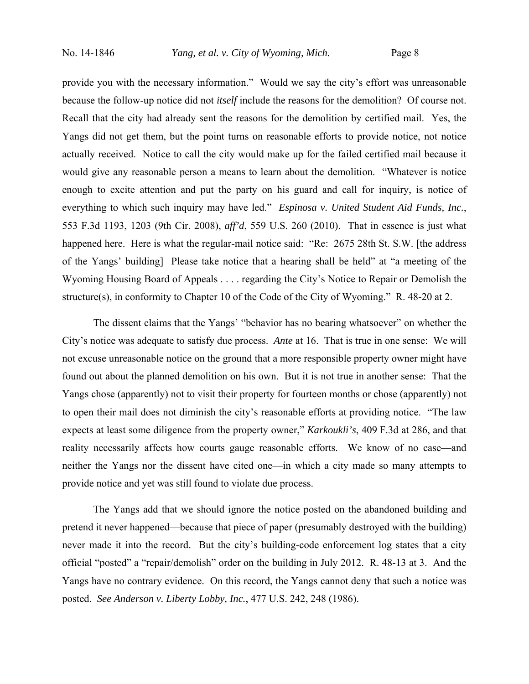provide you with the necessary information." Would we say the city's effort was unreasonable because the follow-up notice did not *itself* include the reasons for the demolition? Of course not. Recall that the city had already sent the reasons for the demolition by certified mail. Yes, the Yangs did not get them, but the point turns on reasonable efforts to provide notice, not notice actually received. Notice to call the city would make up for the failed certified mail because it would give any reasonable person a means to learn about the demolition. "Whatever is notice enough to excite attention and put the party on his guard and call for inquiry, is notice of everything to which such inquiry may have led." *Espinosa v. United Student Aid Funds, Inc.*, 553 F.3d 1193, 1203 (9th Cir. 2008), *aff'd*, 559 U.S. 260 (2010). That in essence is just what happened here. Here is what the regular-mail notice said: "Re: 2675 28th St. S.W. [the address of the Yangs' building] Please take notice that a hearing shall be held" at "a meeting of the Wyoming Housing Board of Appeals . . . . regarding the City's Notice to Repair or Demolish the structure(s), in conformity to Chapter 10 of the Code of the City of Wyoming." R. 48-20 at 2.

The dissent claims that the Yangs' "behavior has no bearing whatsoever" on whether the City's notice was adequate to satisfy due process. *Ante* at 16. That is true in one sense: We will not excuse unreasonable notice on the ground that a more responsible property owner might have found out about the planned demolition on his own. But it is not true in another sense: That the Yangs chose (apparently) not to visit their property for fourteen months or chose (apparently) not to open their mail does not diminish the city's reasonable efforts at providing notice. "The law expects at least some diligence from the property owner," *Karkoukli's*, 409 F.3d at 286, and that reality necessarily affects how courts gauge reasonable efforts. We know of no case—and neither the Yangs nor the dissent have cited one—in which a city made so many attempts to provide notice and yet was still found to violate due process.

The Yangs add that we should ignore the notice posted on the abandoned building and pretend it never happened—because that piece of paper (presumably destroyed with the building) never made it into the record. But the city's building-code enforcement log states that a city official "posted" a "repair/demolish" order on the building in July 2012. R. 48-13 at 3.And the Yangs have no contrary evidence. On this record, the Yangs cannot deny that such a notice was posted. *See Anderson v. Liberty Lobby, Inc.*, 477 U.S. 242, 248 (1986).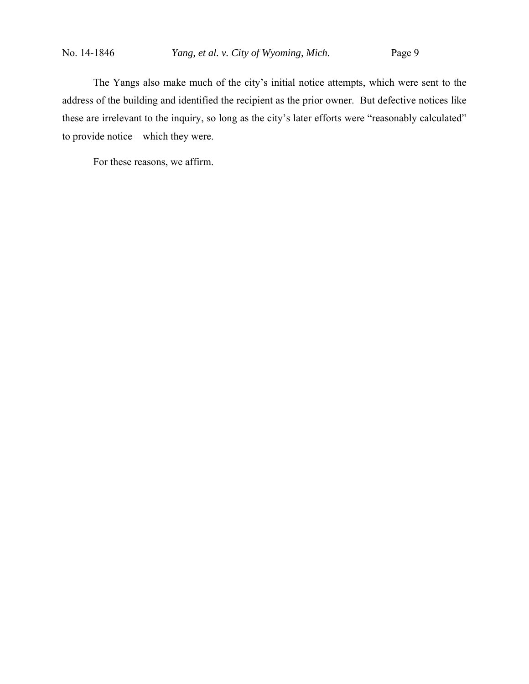The Yangs also make much of the city's initial notice attempts, which were sent to the address of the building and identified the recipient as the prior owner. But defective notices like these are irrelevant to the inquiry, so long as the city's later efforts were "reasonably calculated" to provide notice—which they were.

For these reasons, we affirm.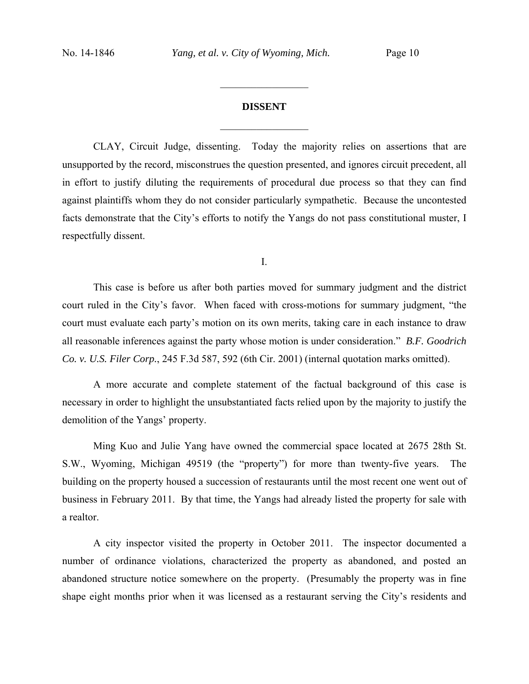# **DISSENT**  $\frac{1}{2}$

 $\frac{1}{2}$  ,  $\frac{1}{2}$  ,  $\frac{1}{2}$  ,  $\frac{1}{2}$  ,  $\frac{1}{2}$  ,  $\frac{1}{2}$  ,  $\frac{1}{2}$  ,  $\frac{1}{2}$  ,  $\frac{1}{2}$ 

CLAY, Circuit Judge, dissenting. Today the majority relies on assertions that are unsupported by the record, misconstrues the question presented, and ignores circuit precedent, all in effort to justify diluting the requirements of procedural due process so that they can find against plaintiffs whom they do not consider particularly sympathetic. Because the uncontested facts demonstrate that the City's efforts to notify the Yangs do not pass constitutional muster, I respectfully dissent.

I.

This case is before us after both parties moved for summary judgment and the district court ruled in the City's favor. When faced with cross-motions for summary judgment, "the court must evaluate each party's motion on its own merits, taking care in each instance to draw all reasonable inferences against the party whose motion is under consideration." *B.F. Goodrich Co. v. U.S. Filer Corp.*, 245 F.3d 587, 592 (6th Cir. 2001) (internal quotation marks omitted).

A more accurate and complete statement of the factual background of this case is necessary in order to highlight the unsubstantiated facts relied upon by the majority to justify the demolition of the Yangs' property.

Ming Kuo and Julie Yang have owned the commercial space located at 2675 28th St. S.W., Wyoming, Michigan 49519 (the "property") for more than twenty-five years. The building on the property housed a succession of restaurants until the most recent one went out of business in February 2011. By that time, the Yangs had already listed the property for sale with a realtor.

A city inspector visited the property in October 2011. The inspector documented a number of ordinance violations, characterized the property as abandoned, and posted an abandoned structure notice somewhere on the property. (Presumably the property was in fine shape eight months prior when it was licensed as a restaurant serving the City's residents and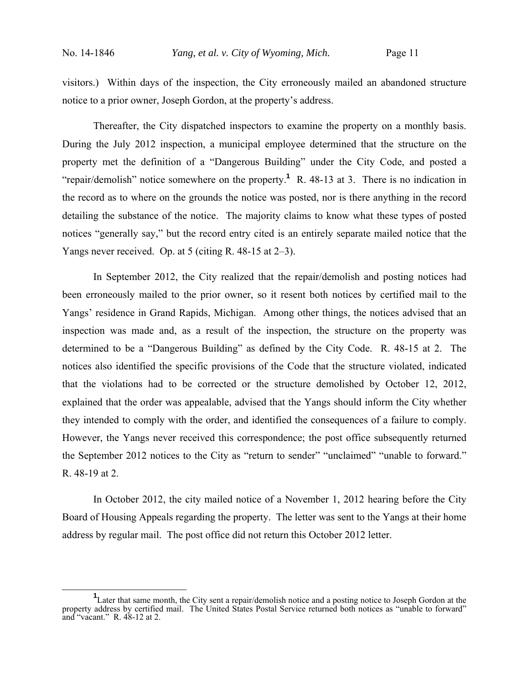visitors.) Within days of the inspection, the City erroneously mailed an abandoned structure notice to a prior owner, Joseph Gordon, at the property's address.

Thereafter, the City dispatched inspectors to examine the property on a monthly basis. During the July 2012 inspection, a municipal employee determined that the structure on the property met the definition of a "Dangerous Building" under the City Code, and posted a "repair/demolish" notice somewhere on the property.<sup>1</sup> R. 48-13 at 3. There is no indication in the record as to where on the grounds the notice was posted, nor is there anything in the record detailing the substance of the notice. The majority claims to know what these types of posted notices "generally say," but the record entry cited is an entirely separate mailed notice that the Yangs never received. Op. at 5 (citing R. 48-15 at 2–3).

In September 2012, the City realized that the repair/demolish and posting notices had been erroneously mailed to the prior owner, so it resent both notices by certified mail to the Yangs' residence in Grand Rapids, Michigan. Among other things, the notices advised that an inspection was made and, as a result of the inspection, the structure on the property was determined to be a "Dangerous Building" as defined by the City Code. R. 48-15 at 2. The notices also identified the specific provisions of the Code that the structure violated, indicated that the violations had to be corrected or the structure demolished by October 12, 2012, explained that the order was appealable, advised that the Yangs should inform the City whether they intended to comply with the order, and identified the consequences of a failure to comply. However, the Yangs never received this correspondence; the post office subsequently returned the September 2012 notices to the City as "return to sender" "unclaimed" "unable to forward." R. 48-19 at 2.

In October 2012, the city mailed notice of a November 1, 2012 hearing before the City Board of Housing Appeals regarding the property. The letter was sent to the Yangs at their home address by regular mail. The post office did not return this October 2012 letter.

<sup>&</sup>lt;sup>1</sup>Later that same month, the City sent a repair/demolish notice and a posting notice to Joseph Gordon at the property address by certified mail. The United States Postal Service returned both notices as "unable to forward" and "vacant." R. 48-12 at 2.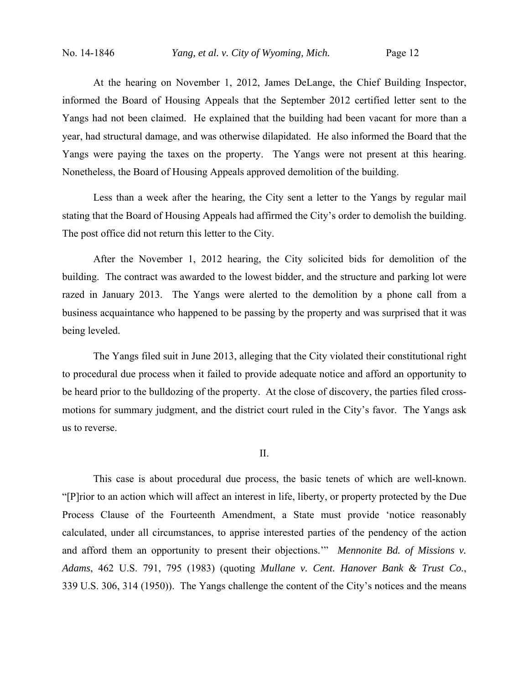At the hearing on November 1, 2012, James DeLange, the Chief Building Inspector, informed the Board of Housing Appeals that the September 2012 certified letter sent to the Yangs had not been claimed. He explained that the building had been vacant for more than a year, had structural damage, and was otherwise dilapidated. He also informed the Board that the Yangs were paying the taxes on the property. The Yangs were not present at this hearing. Nonetheless, the Board of Housing Appeals approved demolition of the building.

Less than a week after the hearing, the City sent a letter to the Yangs by regular mail stating that the Board of Housing Appeals had affirmed the City's order to demolish the building. The post office did not return this letter to the City.

After the November 1, 2012 hearing, the City solicited bids for demolition of the building. The contract was awarded to the lowest bidder, and the structure and parking lot were razed in January 2013. The Yangs were alerted to the demolition by a phone call from a business acquaintance who happened to be passing by the property and was surprised that it was being leveled.

The Yangs filed suit in June 2013, alleging that the City violated their constitutional right to procedural due process when it failed to provide adequate notice and afford an opportunity to be heard prior to the bulldozing of the property. At the close of discovery, the parties filed crossmotions for summary judgment, and the district court ruled in the City's favor. The Yangs ask us to reverse.

### II.

This case is about procedural due process, the basic tenets of which are well-known. "[P]rior to an action which will affect an interest in life, liberty, or property protected by the Due Process Clause of the Fourteenth Amendment, a State must provide 'notice reasonably calculated, under all circumstances, to apprise interested parties of the pendency of the action and afford them an opportunity to present their objections.'" *Mennonite Bd. of Missions v. Adams*, 462 U.S. 791, 795 (1983) (quoting *Mullane v. Cent. Hanover Bank & Trust Co.*, 339 U.S. 306, 314 (1950)). The Yangs challenge the content of the City's notices and the means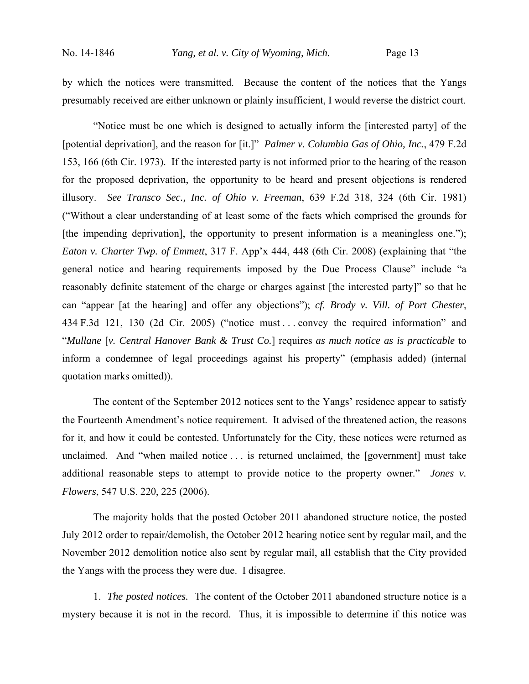by which the notices were transmitted. Because the content of the notices that the Yangs presumably received are either unknown or plainly insufficient, I would reverse the district court.

"Notice must be one which is designed to actually inform the [interested party] of the [potential deprivation], and the reason for [it.]" *Palmer v. Columbia Gas of Ohio, Inc.*, 479 F.2d 153, 166 (6th Cir. 1973). If the interested party is not informed prior to the hearing of the reason for the proposed deprivation, the opportunity to be heard and present objections is rendered illusory. *See Transco Sec., Inc. of Ohio v. Freeman*, 639 F.2d 318, 324 (6th Cir. 1981) ("Without a clear understanding of at least some of the facts which comprised the grounds for [the impending deprivation], the opportunity to present information is a meaningless one."); *Eaton v. Charter Twp. of Emmett*, 317 F. App'x 444, 448 (6th Cir. 2008) (explaining that "the general notice and hearing requirements imposed by the Due Process Clause" include "a reasonably definite statement of the charge or charges against [the interested party]" so that he can "appear [at the hearing] and offer any objections"); *cf. Brody v. Vill. of Port Chester*, 434 F.3d 121, 130 (2d Cir. 2005) ("notice must . . . convey the required information" and "*Mullane* [*v. Central Hanover Bank & Trust Co.*] requires *as much notice as is practicable* to inform a condemnee of legal proceedings against his property" (emphasis added) (internal quotation marks omitted)).

The content of the September 2012 notices sent to the Yangs' residence appear to satisfy the Fourteenth Amendment's notice requirement. It advised of the threatened action, the reasons for it, and how it could be contested. Unfortunately for the City, these notices were returned as unclaimed. And "when mailed notice . . . is returned unclaimed, the [government] must take additional reasonable steps to attempt to provide notice to the property owner." *Jones v. Flowers*, 547 U.S. 220, 225 (2006).

The majority holds that the posted October 2011 abandoned structure notice, the posted July 2012 order to repair/demolish, the October 2012 hearing notice sent by regular mail, and the November 2012 demolition notice also sent by regular mail, all establish that the City provided the Yangs with the process they were due. I disagree.

1. *The posted notices.* The content of the October 2011 abandoned structure notice is a mystery because it is not in the record. Thus, it is impossible to determine if this notice was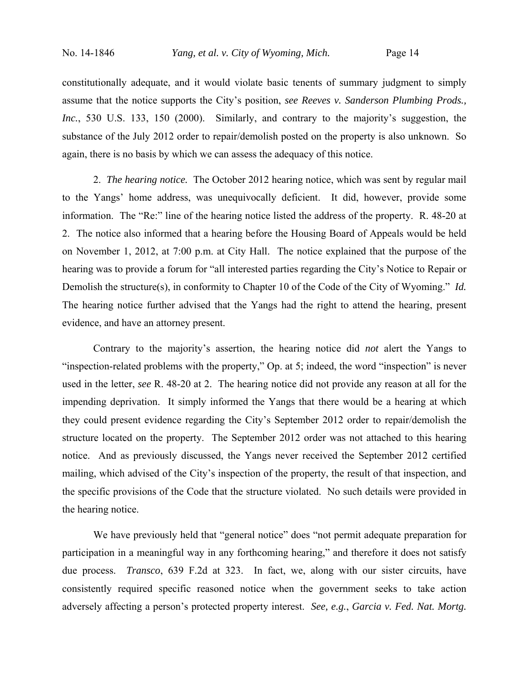constitutionally adequate, and it would violate basic tenents of summary judgment to simply assume that the notice supports the City's position, *see Reeves v. Sanderson Plumbing Prods., Inc.*, 530 U.S. 133, 150 (2000).Similarly, and contrary to the majority's suggestion, the substance of the July 2012 order to repair/demolish posted on the property is also unknown. So again, there is no basis by which we can assess the adequacy of this notice.

2. *The hearing notice.* The October 2012 hearing notice, which was sent by regular mail to the Yangs' home address, was unequivocally deficient. It did, however, provide some information. The "Re:" line of the hearing notice listed the address of the property. R. 48-20 at 2. The notice also informed that a hearing before the Housing Board of Appeals would be held on November 1, 2012, at 7:00 p.m. at City Hall. The notice explained that the purpose of the hearing was to provide a forum for "all interested parties regarding the City's Notice to Repair or Demolish the structure(s), in conformity to Chapter 10 of the Code of the City of Wyoming." *Id.* The hearing notice further advised that the Yangs had the right to attend the hearing, present evidence, and have an attorney present.

Contrary to the majority's assertion, the hearing notice did *not* alert the Yangs to "inspection-related problems with the property," Op. at 5; indeed, the word "inspection" is never used in the letter, *see* R. 48-20 at 2. The hearing notice did not provide any reason at all for the impending deprivation. It simply informed the Yangs that there would be a hearing at which they could present evidence regarding the City's September 2012 order to repair/demolish the structure located on the property. The September 2012 order was not attached to this hearing notice. And as previously discussed, the Yangs never received the September 2012 certified mailing, which advised of the City's inspection of the property, the result of that inspection, and the specific provisions of the Code that the structure violated. No such details were provided in the hearing notice.

We have previously held that "general notice" does "not permit adequate preparation for participation in a meaningful way in any forthcoming hearing," and therefore it does not satisfy due process. *Transco*, 639 F.2d at 323. In fact, we, along with our sister circuits, have consistently required specific reasoned notice when the government seeks to take action adversely affecting a person's protected property interest. *See, e.g.*, *Garcia v. Fed. Nat. Mortg.*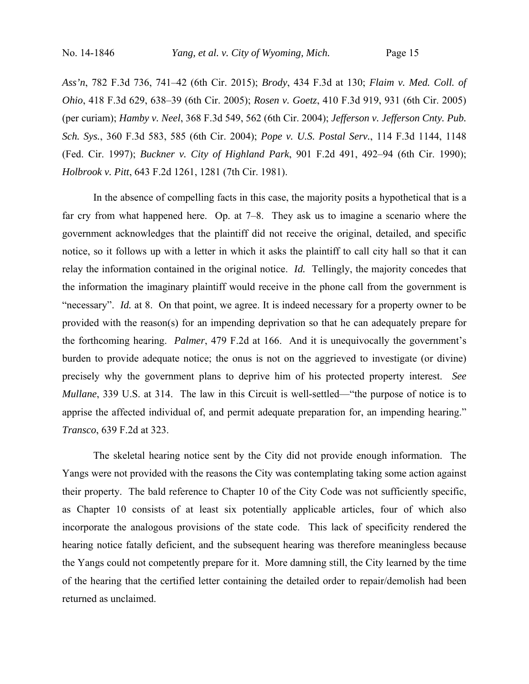*Ass'n*, 782 F.3d 736, 741–42 (6th Cir. 2015); *Brody*, 434 F.3d at 130; *Flaim v. Med. Coll. of Ohio*, 418 F.3d 629, 638–39 (6th Cir. 2005); *Rosen v. Goetz*, 410 F.3d 919, 931 (6th Cir. 2005) (per curiam); *Hamby v. Neel*, 368 F.3d 549, 562 (6th Cir. 2004); *Jefferson v. Jefferson Cnty. Pub. Sch. Sys.*, 360 F.3d 583, 585 (6th Cir. 2004); *Pope v. U.S. Postal Serv.*, 114 F.3d 1144, 1148 (Fed. Cir. 1997); *Buckner v. City of Highland Park*, 901 F.2d 491, 492–94 (6th Cir. 1990); *Holbrook v. Pitt*, 643 F.2d 1261, 1281 (7th Cir. 1981).

In the absence of compelling facts in this case, the majority posits a hypothetical that is a far cry from what happened here. Op. at 7–8. They ask us to imagine a scenario where the government acknowledges that the plaintiff did not receive the original, detailed, and specific notice, so it follows up with a letter in which it asks the plaintiff to call city hall so that it can relay the information contained in the original notice. *Id.* Tellingly, the majority concedes that the information the imaginary plaintiff would receive in the phone call from the government is "necessary". *Id.* at 8. On that point, we agree. It is indeed necessary for a property owner to be provided with the reason(s) for an impending deprivation so that he can adequately prepare for the forthcoming hearing. *Palmer*, 479 F.2d at 166. And it is unequivocally the government's burden to provide adequate notice; the onus is not on the aggrieved to investigate (or divine) precisely why the government plans to deprive him of his protected property interest. *See Mullane*, 339 U.S. at 314. The law in this Circuit is well-settled—"the purpose of notice is to apprise the affected individual of, and permit adequate preparation for, an impending hearing." *Transco*, 639 F.2d at 323.

The skeletal hearing notice sent by the City did not provide enough information. The Yangs were not provided with the reasons the City was contemplating taking some action against their property. The bald reference to Chapter 10 of the City Code was not sufficiently specific, as Chapter 10 consists of at least six potentially applicable articles, four of which also incorporate the analogous provisions of the state code. This lack of specificity rendered the hearing notice fatally deficient, and the subsequent hearing was therefore meaningless because the Yangs could not competently prepare for it. More damning still, the City learned by the time of the hearing that the certified letter containing the detailed order to repair/demolish had been returned as unclaimed.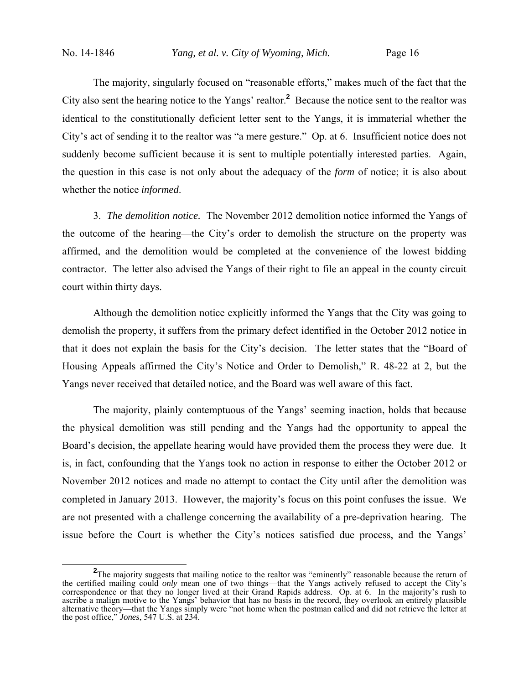The majority, singularly focused on "reasonable efforts," makes much of the fact that the City also sent the hearing notice to the Yangs' realtor.**<sup>2</sup>** Because the notice sent to the realtor was identical to the constitutionally deficient letter sent to the Yangs, it is immaterial whether the City's act of sending it to the realtor was "a mere gesture." Op. at 6. Insufficient notice does not suddenly become sufficient because it is sent to multiple potentially interested parties. Again, the question in this case is not only about the adequacy of the *form* of notice; it is also about whether the notice *informed*.

3. *The demolition notice.* The November 2012 demolition notice informed the Yangs of the outcome of the hearing—the City's order to demolish the structure on the property was affirmed, and the demolition would be completed at the convenience of the lowest bidding contractor. The letter also advised the Yangs of their right to file an appeal in the county circuit court within thirty days.

Although the demolition notice explicitly informed the Yangs that the City was going to demolish the property, it suffers from the primary defect identified in the October 2012 notice in that it does not explain the basis for the City's decision. The letter states that the "Board of Housing Appeals affirmed the City's Notice and Order to Demolish," R. 48-22 at 2, but the Yangs never received that detailed notice, and the Board was well aware of this fact.

The majority, plainly contemptuous of the Yangs' seeming inaction, holds that because the physical demolition was still pending and the Yangs had the opportunity to appeal the Board's decision, the appellate hearing would have provided them the process they were due. It is, in fact, confounding that the Yangs took no action in response to either the October 2012 or November 2012 notices and made no attempt to contact the City until after the demolition was completed in January 2013. However, the majority's focus on this point confuses the issue. We are not presented with a challenge concerning the availability of a pre-deprivation hearing. The issue before the Court is whether the City's notices satisfied due process, and the Yangs'

<sup>&</sup>lt;sup>2</sup>The majority suggests that mailing notice to the realtor was "eminently" reasonable because the return of the certified mailing could *only* mean one of two things—that the Yangs actively refused to accept the City's correspondence or that they no longer lived at their Grand Rapids address. Op. at 6. In the majority's rush to ascribe a malign motive to the Yangs' behavior that has no basis in the record, they overlook an entirely plausible alternative theory—that the Yangs simply were "not home when the postman called and did not retrieve the letter at the post office," *Jones*, 547 U.S. at 234.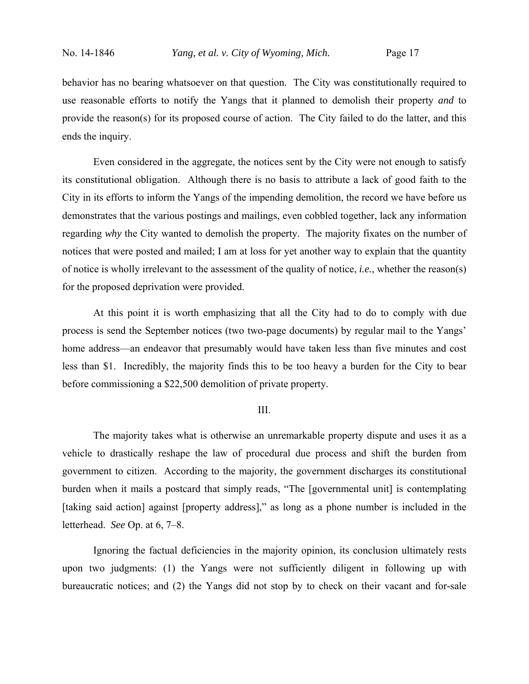behavior has no bearing whatsoever on that question. The City was constitutionally required to use reasonable efforts to notify the Yangs that it planned to demolish their property *and* to provide the reason(s) for its proposed course of action. The City failed to do the latter, and this ends the inquiry.

Even considered in the aggregate, the notices sent by the City were not enough to satisfy its constitutional obligation. Although there is no basis to attribute a lack of good faith to the City in its efforts to inform the Yangs of the impending demolition, the record we have before us demonstrates that the various postings and mailings, even cobbled together, lack any information regarding *why* the City wanted to demolish the property. The majority fixates on the number of notices that were posted and mailed; I am at loss for yet another way to explain that the quantity of notice is wholly irrelevant to the assessment of the quality of notice, *i.e.*, whether the reason(s) for the proposed deprivation were provided.

At this point it is worth emphasizing that all the City had to do to comply with due process is send the September notices (two two-page documents) by regular mail to the Yangs' home address—an endeavor that presumably would have taken less than five minutes and cost less than \$1. Incredibly, the majority finds this to be too heavy a burden for the City to bear before commissioning a \$22,500 demolition of private property.

### III.

The majority takes what is otherwise an unremarkable property dispute and uses it as a vehicle to drastically reshape the law of procedural due process and shift the burden from government to citizen. According to the majority, the government discharges its constitutional burden when it mails a postcard that simply reads, "The [governmental unit] is contemplating [taking said action] against [property address]," as long as a phone number is included in the letterhead. *See* Op. at 6, 7–8.

Ignoring the factual deficiencies in the majority opinion, its conclusion ultimately rests upon two judgments: (1) the Yangs were not sufficiently diligent in following up with bureaucratic notices; and (2) the Yangs did not stop by to check on their vacant and for-sale